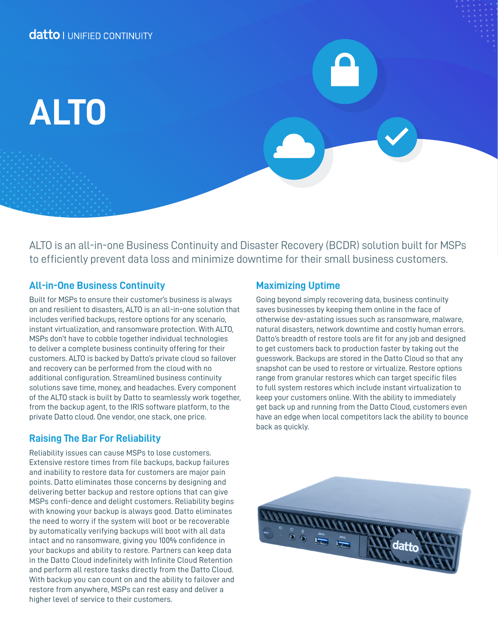# **ALTO**

ALTO is an all-in-one Business Continuity and Disaster Recovery (BCDR) solution built for MSPs to efficiently prevent data loss and minimize downtime for their small business customers.

# **All-in-One Business Continuity**

Built for MSPs to ensure their customer's business is always on and resilient to disasters, ALTO is an all-in-one solution that includes verified backups, restore options for any scenario, instant virtualization, and ransomware protection. With ALTO, MSPs don't have to cobble together individual technologies to deliver a complete business continuity offering for their customers. ALTO is backed by Datto's private cloud so failover and recovery can be performed from the cloud with no additional configuration. Streamlined business continuity solutions save time, money, and headaches. Every component of the ALTO stack is built by Datto to seamlessly work together, from the backup agent, to the IRIS software platform, to the private Datto cloud. One vendor, one stack, one price.

# **Raising The Bar For Reliability**

Reliability issues can cause MSPs to lose customers. Extensive restore times from file backups, backup failures and inability to restore data for customers are major pain points. Datto eliminates those concerns by designing and delivering better backup and restore options that can give MSPs confi-dence and delight customers. Reliability begins with knowing your backup is always good. Datto eliminates the need to worry if the system will boot or be recoverable by automatically verifying backups will boot with all data intact and no ransomware, giving you 100% confidence in your backups and ability to restore. Partners can keep data in the Datto Cloud indefinitely with Infinite Cloud Retention and perform all restore tasks directly from the Datto Cloud. With backup you can count on and the ability to failover and restore from anywhere, MSPs can rest easy and deliver a higher level of service to their customers.

# **Maximizing Uptime**

Going beyond simply recovering data, business continuity saves businesses by keeping them online in the face of otherwise dev-astating issues such as ransomware, malware, natural disasters, network downtime and costly human errors. Datto's breadth of restore tools are fit for any job and designed to get customers back to production faster by taking out the guesswork. Backups are stored in the Datto Cloud so that any snapshot can be used to restore or virtualize. Restore options range from granular restores which can target specific files to full system restores which include instant virtualization to keep your customers online. With the ability to immediately get back up and running from the Datto Cloud, customers even have an edge when local competitors lack the ability to bounce back as quickly.